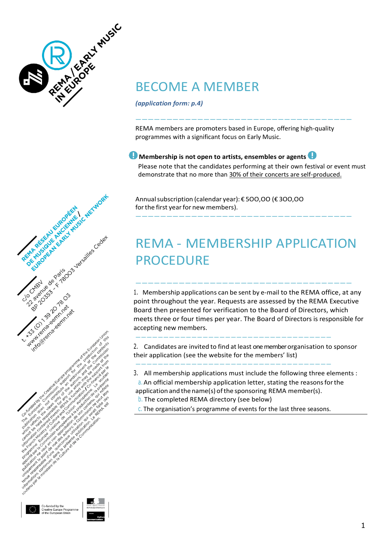

# BECOME A MEMBER

*(application form: p.4)*

REMA members are promoters based in Europe, offering high-quality programmes with a significant focus on Early Music.

———————————————————————————————————

### **Membership is not open to artists, ensembles or agents**

Please note that the candidates performing at their own festival or event must demonstrate that no more than 30% of their concerts are self-produced.

Annualsubscription (calendar year): € 5OO,OO (€ 3OO,OO for the first year for new members).

# REMA - MEMBERSHIP APPLICATION **PROCEDURE**

———————————————————————————————————

———————————————————————————————————

1. Membership applications can be sent by e-mail to the REMA office, at any point throughout the year. Requests are assessed by the REMA Executive Board then presented for verification to the Board of Directors, which meets three or four times per year. The Board of Directors is responsible for accepting new members.

2. Candidates are invited to find at least one member organisation to sponsor their application (see the website for the members' list)

3. All membership applications must include the following three elements : a. An official membership application letter, stating the reasons for the

- application and the name(s) of the sponsoring REMA member(s). b. The completed REMA directory (see below)
- c. The organisation's programme of events for the last three seasons.

———————————————————————————————————

———————————————————————————————————



Creative Europe Progra<br>of the European Union

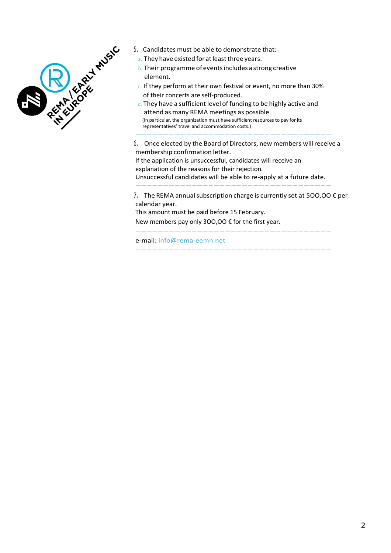

- 5. Candidates must be able to demonstrate that:
	- a. They have existed for at least three years.
	- b. Their programme of eventsincludes a strong creative element.
	- c. If they perform at their own festival or event, no more than 30% of their concerts are self-produced.
- d. They have a sufficient level of funding to be highly active and attend as many REMA meetings as possible. (In particular, the organization must have sufficient resources to pay for its representatives' travel and accommodation costs.) ———————————————————————————————————
- 6. Once elected by the Board of Directors, new members willreceive a membership confirmation letter.

If the application is unsuccessful, candidates will receive an explanation of the reasons for their rejection. Unsuccessful candidates will be able to re-apply at a future date. ———————————————————————————————————

7. The REMA annual subscription charge is currently set at 500,00  $\epsilon$  per calendar year.

———————————————————————————————————

———————————————————————————————————

This amount must be paid before 15 February.

New members pay only 3OO,OO € for the first year.

e-mail: [info@rema-eemn.net](mailto:info@rema-eemn.net)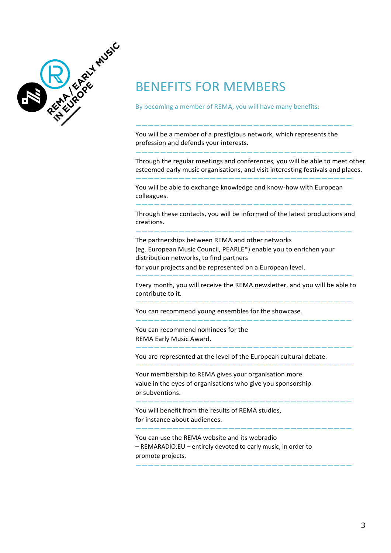

## BENEFITS FOR MEMBERS

#### By becoming a member of REMA, you will have many benefits:

#### ———————————————————————————————————

———————————————————————————————————

———————————————————————————————————

You will be a member of a prestigious network, which represents the profession and defends your interests.

Through the regular meetings and conferences, you will be able to meet other esteemed early music organisations, and visit interesting festivals and places.

You will be able to exchange knowledge and know-how with European colleagues.

——————————————————————————————————— Through these contacts, you will be informed of the latest productions and creations.

———————————————————————————————————

The partnerships between REMA and other networks (eg. European Music Council, PEARLE\*) enable you to enrichen your distribution networks, to find partners for your projects and be represented on a European level.

Every month, you will receive the REMA newsletter, and you will be able to contribute to it.

———————————————————————————————————

———————————————————————————————————

———————————————————————————————————

———————————————————————————————————

———————————————————————————————————

———————————————————————————————————

———————————————————————————————————

———————————————————————————————————

You can recommend young ensembles for the showcase.

You can recommend nominees for the REMA Early Music Award.

You are represented at the level of the European cultural debate.

Your membership to REMA gives your organisation more value in the eyes of organisations who give you sponsorship or subventions.

You will benefit from the results of REMA studies, for instance about audiences.

You can use the REMA website and its webradio – REMARADIO.EU – entirely devoted to early music, in order to promote projects.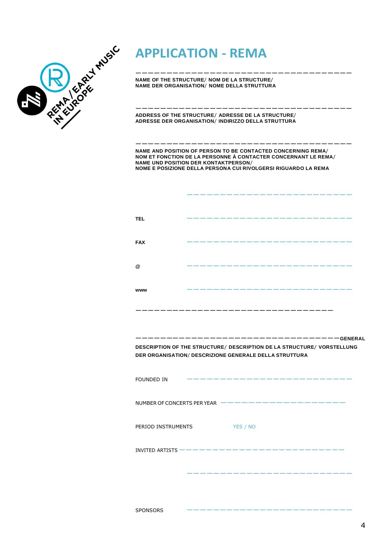

# **APPLICATION - REMA**

——————————————————————————————————— **NAME OF THE STRUCTURE**/ **NOM DE LA STRUCTURE**/ **NAME DER ORGANISATION**/ **NOME DELLA STRUTTURA**

——————————————————————————————————— **ADDRESS OF THE STRUCTURE**/ **ADRESSE DE LA STRUCTURE**/ **ADRESSE DER ORGANISATION**/ **INDIRIZZO DELLA STRUTTURA**

——————————————————————————————————— **NAME AND POSITION OF PERSON TO BE CONTACTED CONCERNING REMA**/ **NOM ET FONCTION DE LA PERSONNE À CONTACTER CONCERNANT LE REMA**/ **NAME UND POSITION DER KONTAKTPERSON**/ **NOME E POSIZIONE DELLA PERSONA CUI RIVOLGERSI RIGUARDO LA REMA**

| <b>TEL</b> |  |
|------------|--|
| <b>FAX</b> |  |
| @          |  |
| <b>www</b> |  |

—————————————————————————————————**GENERAL DESCRIPTION OF THE STRUCTURE**/ **DESCRIPTION DE LA STRUCTURE**/ **VORSTELLUNG DER ORGANISATION**/ **DESCRIZIONE GENERALE DELLA STRUTTURA**

————————————————————————————————

| FOUNDED IN         | <b>Contract Contract Contract</b> |                                                                                   |  |
|--------------------|-----------------------------------|-----------------------------------------------------------------------------------|--|
|                    |                                   | NUMBER OF CONCERTS PER YEAR $\,\,\,-\,-\,-\,-\,-\,-\,-\,-\,-\,-\,-\,-\,-\,-\,-\,$ |  |
| PERIOD INSTRUMENTS |                                   | YES / NO                                                                          |  |
|                    |                                   | INVITED ARTISTS ——————————————————————————                                        |  |
|                    |                                   |                                                                                   |  |
|                    |                                   |                                                                                   |  |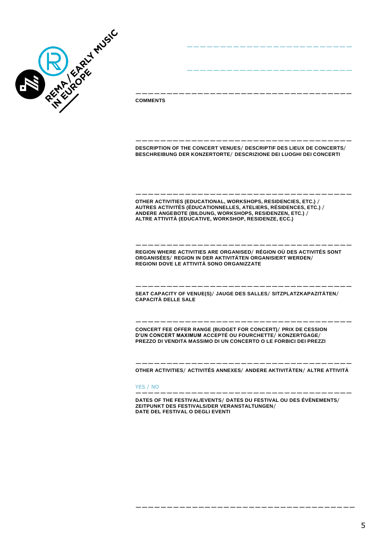

**COMMENTS**

——————————————————————————————————— **DESCRIPTION OF THE CONCERT VENUES**/ **DESCRIPTIF DES LIEUX DE CONCERTS**/ **BESCHREIBUNG DER KONZERTORTE**/ **DESCRIZIONE DEI LUOGHI DEI CONCERTI**

———————————————————————————————————

—————————————————————————

—————————————————————————

——————————————————————————————————— **OTHER ACTIVITIES (EDUCATIONAL, WORKSHOPS, RESIDENCIES, ETC.)** / **AUTRES ACTIVITÉS (ÉDUCATIONNELLES, ATELIERS, RÉSIDENCES, ETC.)** / **ANDERE ANGEBOTE (BILDUNG, WORKSHOPS, RESIDENZEN, ETC.)** / **ALTRE ATTIVITÀ (EDUCATIVE, WORKSHOP, RESIDENZE, ECC.)**

——————————————————————————————————— **REGION WHERE ACTIVITIES ARE ORGANISED**/ **RÉGION OÙ DES ACTIVITÉS SONT ORGANISÉES**/ **REGION IN DER AKTIVITÄTEN ORGANISIERT WERDEN**/ **REGIONI DOVE LE ATTIVITÀ SONO ORGANIZZATE**

——————————————————————————————————— **SEAT CAPACITY OF VENUE(S)**/ **JAUGE DES SALLES**/ **SITZPLATZKAPAZITÄTEN**/ **CAPACITÀ DELLE SALE**

——————————————————————————————————— **CONCERT FEE OFFER RANGE (BUDGET FOR CONCERT)**/ **PRIX DE CESSION D'UN CONCERT MAXIMUM ACCEPTÉ OU FOURCHETTE**/ **KONZERTGAGE**/ **PREZZO DI VENDITA MASSIMO DI UN CONCERTO O LE FORBICI DEI PREZZI**

——————————————————————————————————— **OTHER ACTIVITIES**/ **ACTIVITÉS ANNEXES**/ **ANDERE AKTIVITÄTEN**/ **ALTRE ATTIVITÀ**

#### YES / NO

——————————————————————————————————— **DATES OF THE FESTIVAL/EVENTS**/ **DATES DU FESTIVAL OU DES ÉVÈNEMENTS**/ **ZEITPUNKT DES FESTIVALS/DER VERANSTALTUNGEN**/ **DATE DEL FESTIVAL O DEGLI EVENTI**

———————————————————————————————————